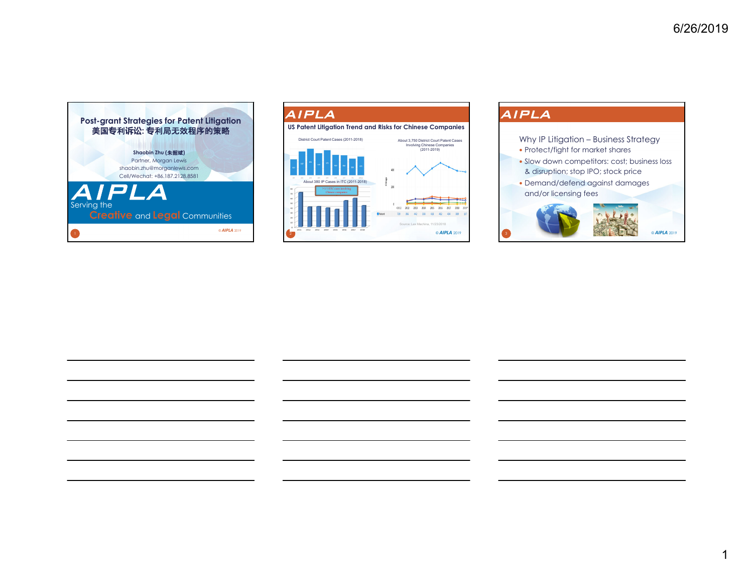



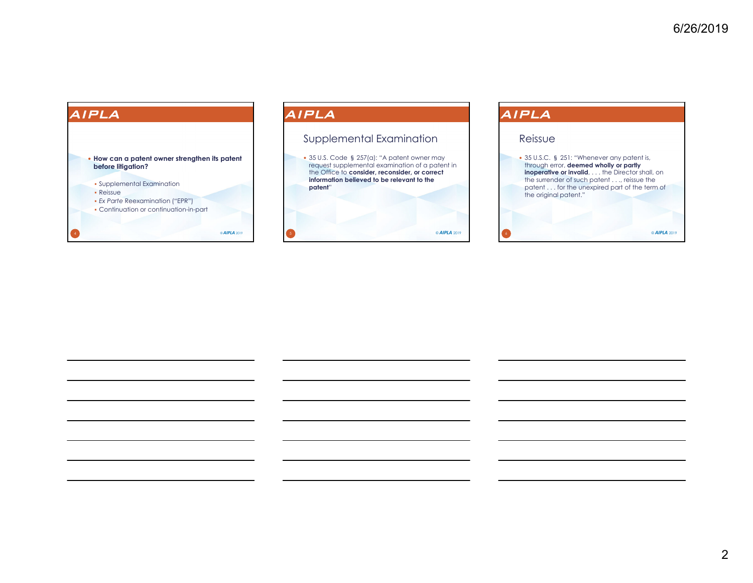© *AIPLA* <sup>2019</sup>

# AIPLA **How can a patent owner strengthen its patent before litigation?**  Supplemental Examination Reissue *Ex Parte* Reexamination ("EPR") Continuation or continuation-in-part

© *AIPLA* <sup>2019</sup>

### AIPLA

### Supplemental Examination

 35 U.S. Code § 257(a): "A patent owner may request supplemental examination of a patent in the Office to **consider, reconsider, or correct information believed to be relevant to the patent**"

© *AIPLA* <sup>2019</sup>

## AIPLA

### Reissue

 35 U.S.C. § 251: "Whenever any patent is, through error, **deemed wholly or partly inoperative or invalid**, . . . the Director shall, on the surrender of such patent . . ., reissue the patent . . . for the unexpired part of the term of the original patent."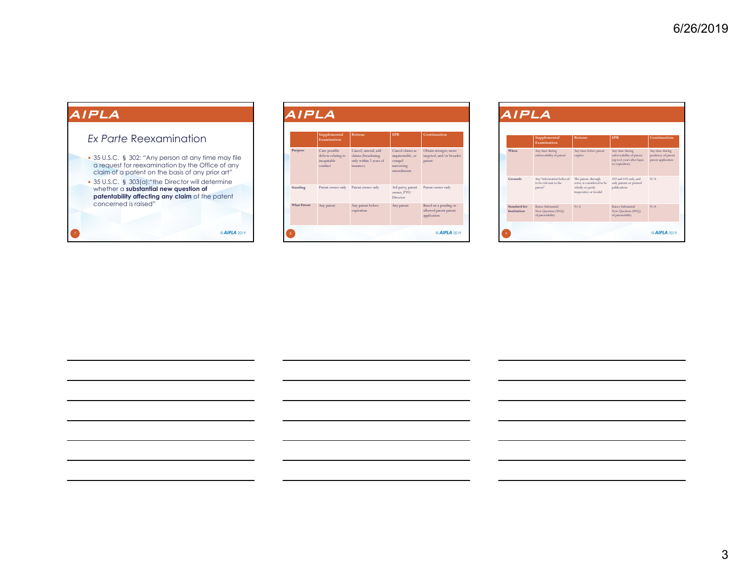### *Ex Parte* Reexamination

- 35 U.S.C. § 302: "Any person at any time may file a request for reexamination by the Office of any claim of a patent on the basis of any prior art"
- 35 U.S.C. § 303(a):"the Director will determine whether a **substantial new question of patentability affecting any claim** of the patent concerned is raised"

| <i><b>AIPLA</b></i>                                                                                                                                                                                               | AIPLA              |                                                                |                                                                                 |                                                                           |                                                               |
|-------------------------------------------------------------------------------------------------------------------------------------------------------------------------------------------------------------------|--------------------|----------------------------------------------------------------|---------------------------------------------------------------------------------|---------------------------------------------------------------------------|---------------------------------------------------------------|
| Ex Parte Reexamination                                                                                                                                                                                            |                    | Supplemental<br>Examination                                    | Reissue                                                                         | EPR                                                                       | Continuation                                                  |
| • 35 U.S.C. § 302: "Any person at any time may file<br>a request for reexamination by the Office of any<br>claim of a patent on the basis of any prior art"<br>• 35 U.S.C. § 303(a): "the Director will determine | Purpose            | Cure possible<br>defects relating to<br>inequitable<br>conduct | Cancel, amend, add<br>claims (broadening<br>only within 2 years of<br>issuance) | Cancel claims as<br>unpatentable, or<br>compel<br>narrowing<br>amendments | Obtain stronger, more<br>targeted, and/or broader<br>patent   |
| whether a substantial new question of<br>patentability affecting any claim of the patent                                                                                                                          | Standing           | Patent owner only                                              | Patent owner only                                                               | 3rd party, patent<br>owner, PTO<br>Director                               | Patent owner only                                             |
| concerned is raised"                                                                                                                                                                                              | <b>What Patent</b> | Any patent                                                     | Any patent before<br>expiration                                                 | Any patent                                                                | Based on a pending or<br>allowed parent patent<br>application |
| © AIPLA 2019                                                                                                                                                                                                      |                    |                                                                |                                                                                 |                                                                           | @ AIPLA 2019                                                  |

|                             | Supplemental<br><b>Examination</b>                            | Reissne                                                                                         | <b>FPR</b>                                                                                  | Continuation                                                |
|-----------------------------|---------------------------------------------------------------|-------------------------------------------------------------------------------------------------|---------------------------------------------------------------------------------------------|-------------------------------------------------------------|
| When                        | Any time during<br>enforceability of patent                   | Any time before patent<br>expires                                                               | Any time during<br>enforceability of patent<br>(up to 6 years after lapse<br>or expiration) | Any time during<br>pendency of parent<br>patent application |
| Grounds                     | Any "information believed<br>to be relevant to the<br>patent" | The patent, through<br>error, is considered to be<br>wholly or partly<br>inoperative or invalid | 102 and 103 only, and<br>only patents or printed<br>publications                            | N/A                                                         |
| Standard for<br>Institution | Raises Substantial<br>New Question (SNQ)<br>of patentability  | N/A                                                                                             | Raises Substantial<br>New Question (SNQ)<br>of patentability                                | N/A                                                         |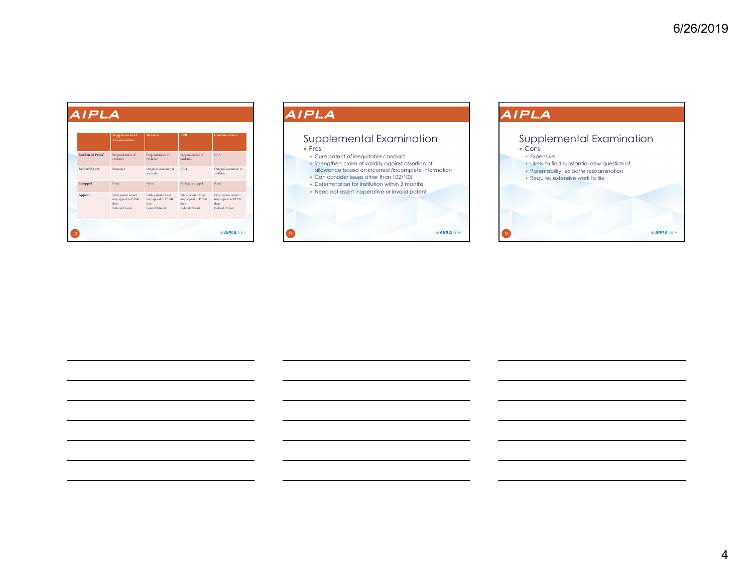|                        | Supplemental<br>Examination                                         | Reissne                                                                    | <b>FPR</b>                                                          | Continuation                                                        |
|------------------------|---------------------------------------------------------------------|----------------------------------------------------------------------------|---------------------------------------------------------------------|---------------------------------------------------------------------|
| <b>Burden of Proof</b> | Preponderance of<br>evidence.                                       | Preponderance of<br>evidence                                               | Preponderance of<br>evidence                                        | N/A                                                                 |
| <b>Before Whom</b>     | <b>Examiner</b>                                                     | Original examiner, if<br>available                                         | CRIL                                                                | Original examiner, if<br>available                                  |
| Estoppel               | None                                                                | None.                                                                      | No legal estoppel                                                   | None                                                                |
| Appeal                 | Only patent owner<br>may appeal to PTAB<br>then.<br>Federal Circuit | Only patent owner<br>may appeal to PTAB<br>then.<br><b>Federal Circuit</b> | Only patent owner<br>may appeal to PTAB<br>then.<br>Federal Circuit | Only patent owner<br>may appeal to PTAB<br>then.<br>Federal Circuit |

### AIPLA Supplemental Examination • Pros Cure patent of inequitable conduct Strengthen claim of validity against assertion of allowance based on incorrect/incomplete information Can consider issues other than 102/103 Determination for institution within 3 months Need not assert inoperative or invalid patent © *AIPLA* <sup>2019</sup>

# AIPLA Supplemental Examination Cons **Expensive**  Likely to find substantial new question of Patentability: *ex parte* reexamination Requires extensive work to file © *AIPLA* <sup>2019</sup>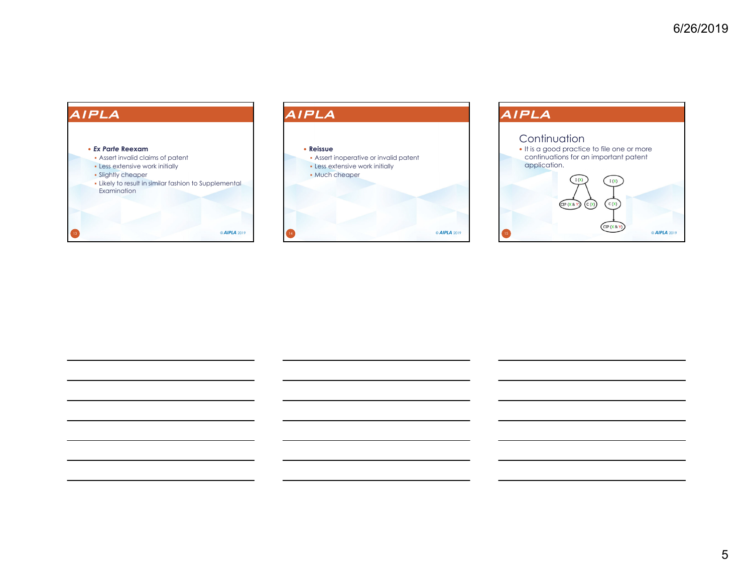



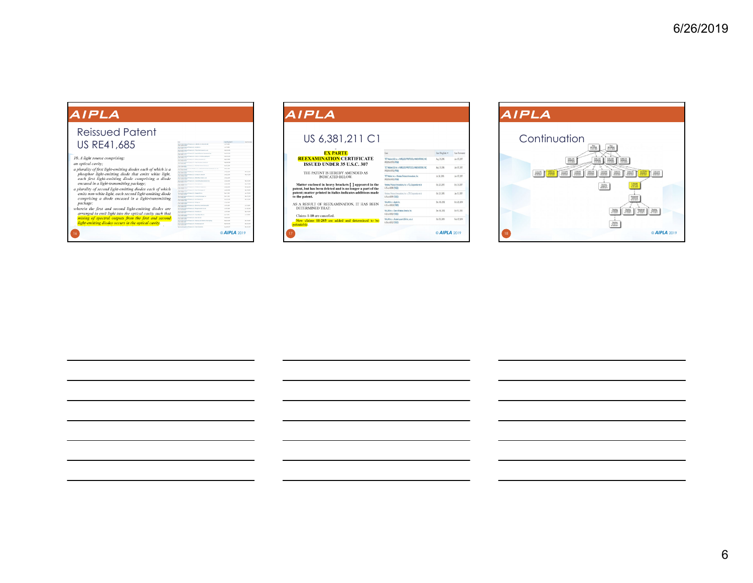# Reissued PatentUS RE41,685 10. A light source comprising: an optical cavity; an optical cavity;<br>a plurality of first light-emitting diodes each of which is a<br>phosphor light-emitting diode that emits white light,<br>each first light-emitting diode comprising a diode<br>encased in a light-transmitting pack encased in a light-ransmitting package.<br>a planelity of second light-emitting diodes each of which<br>emits non-white light, each is calculated in the second light-emitting diodes<br>comprising a diode encased in a light-minimal

© *AIPLA* <sup>2019</sup>

 $-0.229$ 

 $\begin{array}{c} \times 1.29 \\ \times 0.29 \\ \times 0.29 \\ \times 1.29 \\ \times 1.29 \end{array}$ 

 $\begin{array}{r} 0.5 \pm 0.1 \\ 0.3 \pm 0.1 \\ 0.3 \pm 0.1 \end{array}$ 

| AIPLA                                                                                                                |                                                                                   |                    |                 |
|----------------------------------------------------------------------------------------------------------------------|-----------------------------------------------------------------------------------|--------------------|-----------------|
| US 6,381,211 C1                                                                                                      |                                                                                   |                    |                 |
| <b>EX PARTE</b>                                                                                                      |                                                                                   | Case Filing Oate * | Cata Terminated |
| <b>REEXAMINATION CERTIFICATE</b><br><b>ISSUED UNDER 35 U.S.C. 307</b>                                                | TCT Mobile (JS) Ivc. v. WRELESS PROTOCOL INNOVATIONS, INC.<br>PR205/2008 (PDB)    | An 31,205          | Jun. 02.2017    |
| THE PATENT IS HEREBY AMENDED AS                                                                                      | TCT Mobile (201hz, v WRRLESS PROTOCOL INNOVATIONS, INC.<br>PRODUCTION PEND        | An 71 206          | Jun 02 200      |
| <b>INDICATED BELOW.</b>                                                                                              | TCT Mobile Inc. v Moders Protocol Innovations, Inc.<br>PROTECTION PERMIT          | JJ 36 206          | Jun 02 2017     |
| Matter enclosed in heavy brackets [ ] appeared in the<br>patent, but has been deleted and is no longer a part of the | Wreles Pratocol Innovations, Inc. v. TCL Corporation et al.<br>4-15 cv 00918-TXED | 0.1.23.205         | 04.78.300       |
| patent; matter printed in italics indicates additions made<br>to the patent.                                         | Wreles Pratocol Innovations, Inc. v. 276 Corporation et al.<br>6/6cv0099-DE0      | 0.1.23.205         | Jan. 13, 2007   |
| AS A RESULT OF REEXAMINATION. IT HAS BEEN                                                                            | W-LAN Inc. y Apple Inc.<br>6-12-cv-009320 FXED                                    | Dec 06, 2003       | D1.28.396       |
| DETERMINED THAT:<br>Claims 1-10 are cancelled.                                                                       | W-LBV Inc. v Sierra Wreless America, Inc.<br>6.0 cv 0000h (5/20)                  | Dec. 06, 2012      | 04 K 390        |
| New claims 11-203 are added and determined to be<br>patentable.                                                      | WILM Inc. v Alonei Lucert USA Inc. et al.<br>6/8 cv 00521 D(E0)                   | 0.105.200          | Feb. 07, 2014   |
|                                                                                                                      |                                                                                   | @ AIPLA 2019       |                 |

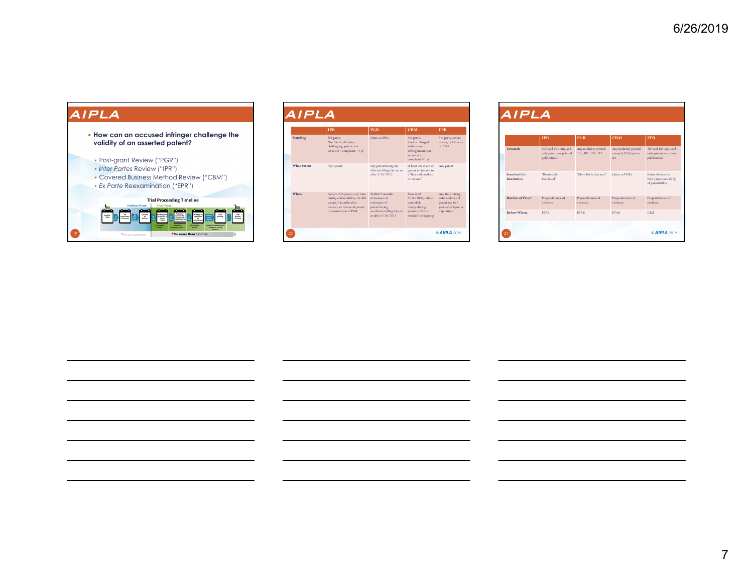**How can an accused infringer challenge the validity of an asserted patent?** 

#### Post-grant Review ("PGR")

#### *Inter Partes* Review ("IPR")

Covered Business Method Review ("CBM")

#### *Ex Parte* Reexamination ("EPR")



|                    | <b>TPR</b>                                                                                                                                          | <b>PGR</b>                                                                                                               | CBM                                                                                                     | <b>FPR</b>                                                                                     |
|--------------------|-----------------------------------------------------------------------------------------------------------------------------------------------------|--------------------------------------------------------------------------------------------------------------------------|---------------------------------------------------------------------------------------------------------|------------------------------------------------------------------------------------------------|
| Standing           | 3rd party:<br>Not filed civil action<br>challenging patent; not<br>served w/complaint >1 yr                                                         | (Same as IPR)                                                                                                            | 3rd party:<br>Sued or charged<br>with patent<br>infringement; not<br>served w/<br>complaint >1 yr       | 3rd party, patent<br>owner, or Director<br>of PTO                                              |
| <b>What Patent</b> | Any patent                                                                                                                                          | Any patent having an<br>effective filing date on or<br>after 3/16/2013                                                   | at least one claim of<br>patent is directed to<br>a "financial product<br>or service"                   | Any patent                                                                                     |
| When               | For pre-AIA patent, any time<br>during enforceability; for AIA<br>patent, 9 months after<br>issuance or reissue of patent,<br>or termination of PGR | Within 9 months<br>of issuance or<br>reissuance of<br>patent having<br>an effective filing date on<br>or after 3/16/2013 | Now until<br>9/16/2020, unless<br>extended.<br>except during<br>period a PGR is<br>available or ongoing | Any time during<br>enforceability of<br>patent (up to 6<br>years after lapse or<br>expiration) |

|                             | <b>IPR</b>                                                       | <b>PGR</b>                                   | <b>CBM</b>                                             | <b>FPR</b>                                                       |
|-----------------------------|------------------------------------------------------------------|----------------------------------------------|--------------------------------------------------------|------------------------------------------------------------------|
| Grounds                     | 102 and 103 only, and<br>only patents or printed<br>publications | Any invalidity ground:<br>101, 102, 103, 112 | Any invalidity ground,<br>except § 102(e) prior<br>art | 102 and 103 only, and<br>only patents or printed<br>publications |
| Standard for<br>Institution | "Reasonable<br>likelihood"                                       | "More likely than not"                       | (Same as PGR)                                          | Raises Substantial<br>New Question (SNQ)<br>of patentability     |
| <b>Burden of Proof</b>      | Preponderance of<br>evidence                                     | Preponderance of<br>evidence                 | Preponderance of<br>evidence.                          | Preponderance of<br>evidence                                     |
| <b>Before Whom</b>          | <b>PTAR</b>                                                      | <b>PTAR</b>                                  | <b>PTAR</b>                                            | CRIL                                                             |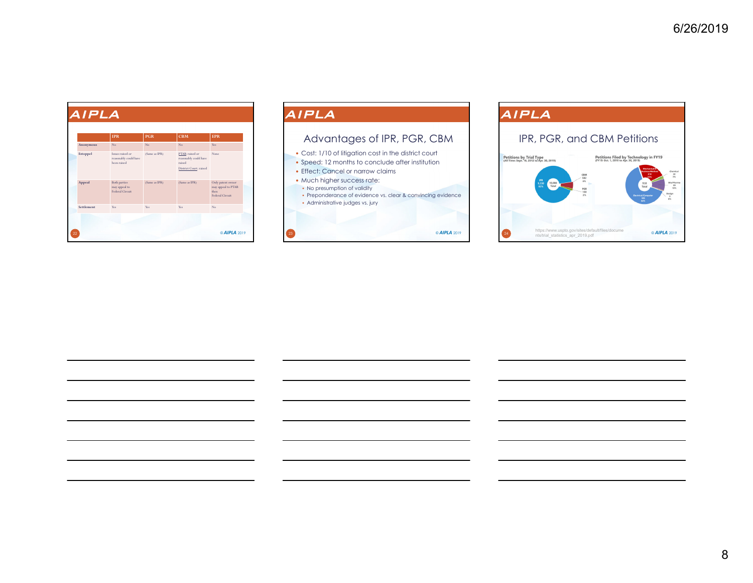|            | <b>IPR</b>                                               | <b>PGR</b>     | <b>CBM</b>                                                                   | <b>EPR</b>                                                          |
|------------|----------------------------------------------------------|----------------|------------------------------------------------------------------------------|---------------------------------------------------------------------|
| Anonymous  | No                                                       | N <sub>0</sub> | No                                                                           | Yes                                                                 |
| Estoppel   | Issues raised or<br>reasonably could have<br>been raised | (Same as IPR)  | PTAB: raised or<br>reasonably could have<br>raised<br>District Court: raised | None                                                                |
| Appeal     | <b>Both parties</b><br>may appeal to<br>Federal Circuit  | (Same as IPR)  | (Same as IPR)                                                                | Only patent owner<br>may appeal to PTAB<br>then.<br>Federal Circuit |
| Settlement | Yes                                                      | Yes            | Yes                                                                          | No.                                                                 |

## AIPLA Advantages of IPR, PGR, CBM Cost: 1/10 of litigation cost in the district court • Speed: 12 months to conclude after institution • Effect: Cancel or narrow claims • Much higher success rate: No presumption of validity Preponderance of evidence vs. clear & convincing evidence Administrative judges vs. jury

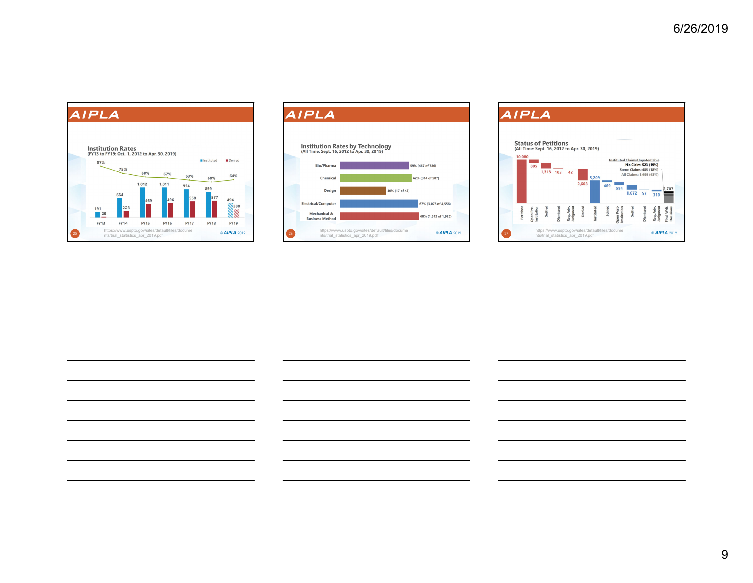



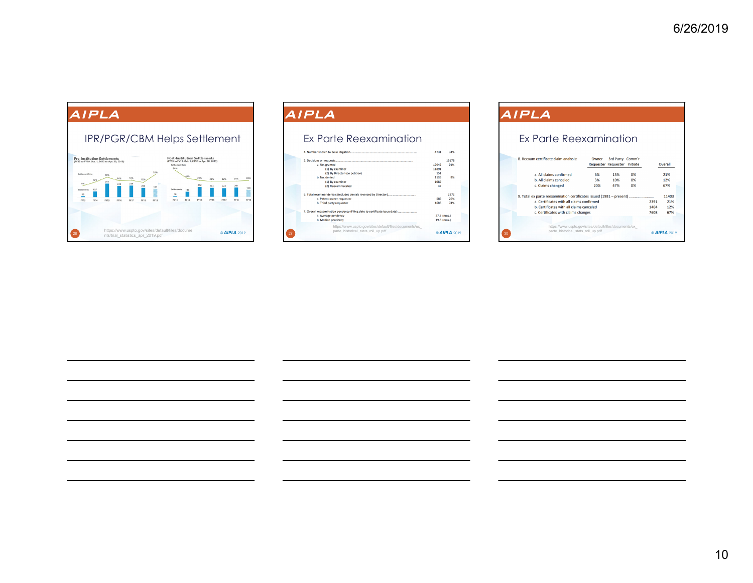

| AIPLA                                                                                        |             |              |  |
|----------------------------------------------------------------------------------------------|-------------|--------------|--|
|                                                                                              |             |              |  |
| Ex Parte Reexamination                                                                       |             |              |  |
|                                                                                              | 4731        | 34%          |  |
|                                                                                              |             | 13178        |  |
| a. No. granted                                                                               | 12042       | 91%          |  |
| (1) By examiner                                                                              | 11891       |              |  |
| (2) By Director (on petition)                                                                | 151         |              |  |
| h No denied                                                                                  | 1136        | 9%           |  |
| (1) By examiner                                                                              | 1089        |              |  |
| (2) Reexam vacated                                                                           | 47          |              |  |
|                                                                                              |             | 2272         |  |
| a. Patent owner requester                                                                    | 586         | 26%          |  |
| b. Third party requester                                                                     | 1686        | 74%          |  |
| 7. Overall reexamination pendency (Filing date to certificate issue date)                    |             |              |  |
| a. Average pendency                                                                          | 27.7 (mos.) |              |  |
| b. Median pendency                                                                           | 19.8 (mos.) |              |  |
| https://www.uspto.gov/sites/default/files/documents/ex<br>parte historical stats roll up.pdf |             | @ AIPLA 2019 |  |

| AIPLA                                                                |       |                                                |          |      |         |
|----------------------------------------------------------------------|-------|------------------------------------------------|----------|------|---------|
| <u>Ex Parte Reexamination</u>                                        |       |                                                |          |      |         |
| 8. Reexam certificate claim analysis:                                | Owner | 3rd Party Comm'r<br><b>Requester Requester</b> | Initiate |      | Overall |
| a. All claims confirmed                                              | 6%    | 15%                                            | 0%       |      | 21%     |
| b. All claims canceled                                               | 3%    | 10%                                            | 0%       |      | 12%     |
| c. Claims changed                                                    | 20%   | 47%                                            | 0%       |      | 67%     |
| 9. Total ex parte reexamination certificates issued (1981 - present) |       |                                                |          |      | 11403   |
| a. Certificates with all claims confirmed                            |       |                                                |          | 2391 | 21%     |
| b. Certificates with all claims canceled                             |       |                                                |          | 1404 | 12%     |
| c. Certificates with claims changes                                  |       |                                                |          | 7608 | 67%     |
|                                                                      |       |                                                |          |      |         |

© *AIPLA* <sup>2019</sup> https://www.uspto.gov/sites/default/files/documents/ex\_ parte\_historical\_stats\_roll\_up.pdf

30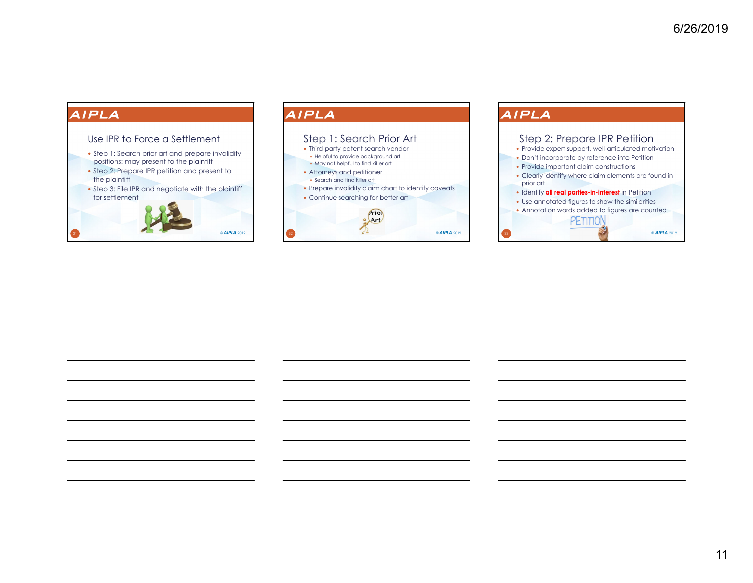## Use IPR to Force a Settlement

- Step 1: Search prior art and prepare invalidity positions: may present to the plaintiff
- Step 2: Prepare IPR petition and present to the plaintiff
- Step 3: File IPR and negotiate with the plaintiff for settlement



## AIPLA



### AIPLA Step 2: Prepare IPR Petition • Provide expert support, well-articulated motivation Don't incorporate by reference into Petition • Provide important claim constructions Clearly identify where claim elements are found in prior art **Identify all real parties-in-interest** in Petition Use annotated figures to show the similarities Annotation words added to figures are counted PETITION © *AIPLA* <sup>2019</sup>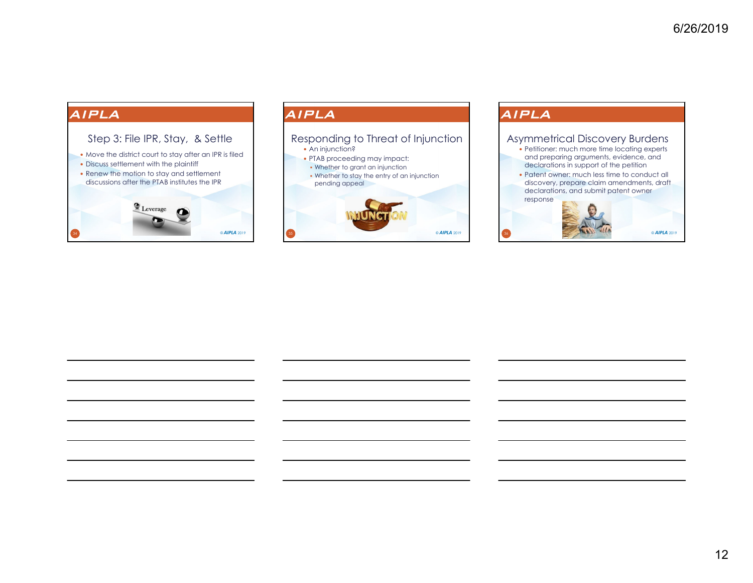

### AIPLA

## An injunction? PTAB proceeding may impact: Whether to grant an injunction Whether to stay the entry of an injunction pending appeal Responding to Threat of Injunction © *AIPLA* <sup>2019</sup>

### AIPLA

### Asymmetrical Discovery Burdens

- Petitioner: much more time locating experts and preparing arguments, evidence, and declarations in support of the petition
- Patent owner: much less time to conduct all discovery, prepare claim amendments, draft declarations, and submit patent owner response